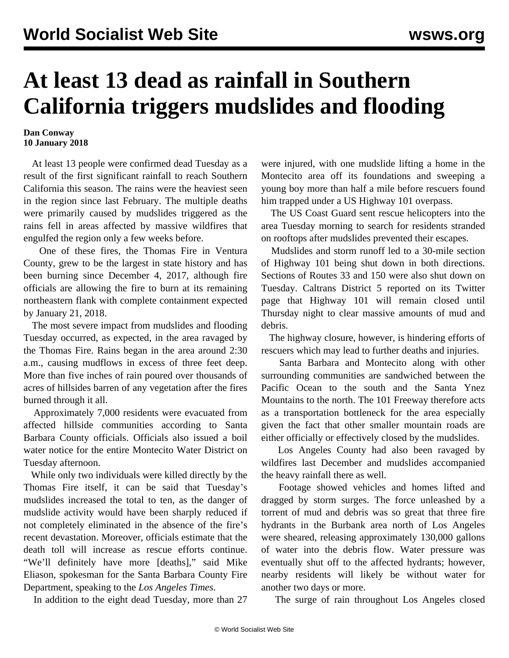## **At least 13 dead as rainfall in Southern California triggers mudslides and flooding**

## **Dan Conway 10 January 2018**

 At least 13 people were confirmed dead Tuesday as a result of the first significant rainfall to reach Southern California this season. The rains were the heaviest seen in the region since last February. The multiple deaths were primarily caused by mudslides triggered as the rains fell in areas affected by massive wildfires that engulfed the region only a few weeks before.

 One of these fires, the Thomas Fire in Ventura County, grew to be the largest in state history and has been burning since December 4, 2017, although fire officials are allowing the fire to burn at its remaining northeastern flank with complete containment expected by January 21, 2018.

 The most severe impact from mudslides and flooding Tuesday occurred, as expected, in the area ravaged by the Thomas Fire. Rains began in the area around 2:30 a.m., causing mudflows in excess of three feet deep. More than five inches of rain poured over thousands of acres of hillsides barren of any vegetation after the fires burned through it all.

 Approximately 7,000 residents were evacuated from affected hillside communities according to Santa Barbara County officials. Officials also issued a boil water notice for the entire Montecito Water District on Tuesday afternoon.

 While only two individuals were killed directly by the Thomas Fire itself, it can be said that Tuesday's mudslides increased the total to ten, as the danger of mudslide activity would have been sharply reduced if not completely eliminated in the absence of the fire's recent devastation. Moreover, officials estimate that the death toll will increase as rescue efforts continue. "We'll definitely have more [deaths]," said Mike Eliason, spokesman for the Santa Barbara County Fire Department, speaking to the *Los Angeles Times*.

In addition to the eight dead Tuesday, more than 27

were injured, with one mudslide lifting a home in the Montecito area off its foundations and sweeping a young boy more than half a mile before rescuers found him trapped under a US Highway 101 overpass.

 The US Coast Guard sent rescue helicopters into the area Tuesday morning to search for residents stranded on rooftops after mudslides prevented their escapes.

 Mudslides and storm runoff led to a 30-mile section of Highway 101 being shut down in both directions. Sections of Routes 33 and 150 were also shut down on Tuesday. Caltrans District 5 reported on its Twitter page that Highway 101 will remain closed until Thursday night to clear massive amounts of mud and debris.

 The highway closure, however, is hindering efforts of rescuers which may lead to further deaths and injuries.

 Santa Barbara and Montecito along with other surrounding communities are sandwiched between the Pacific Ocean to the south and the Santa Ynez Mountains to the north. The 101 Freeway therefore acts as a transportation bottleneck for the area especially given the fact that other smaller mountain roads are either officially or effectively closed by the mudslides.

 Los Angeles County had also been ravaged by wildfires last December and mudslides accompanied the heavy rainfall there as well.

 Footage showed vehicles and homes lifted and dragged by storm surges. The force unleashed by a torrent of mud and debris was so great that three fire hydrants in the Burbank area north of Los Angeles were sheared, releasing approximately 130,000 gallons of water into the debris flow. Water pressure was eventually shut off to the affected hydrants; however, nearby residents will likely be without water for another two days or more.

The surge of rain throughout Los Angeles closed